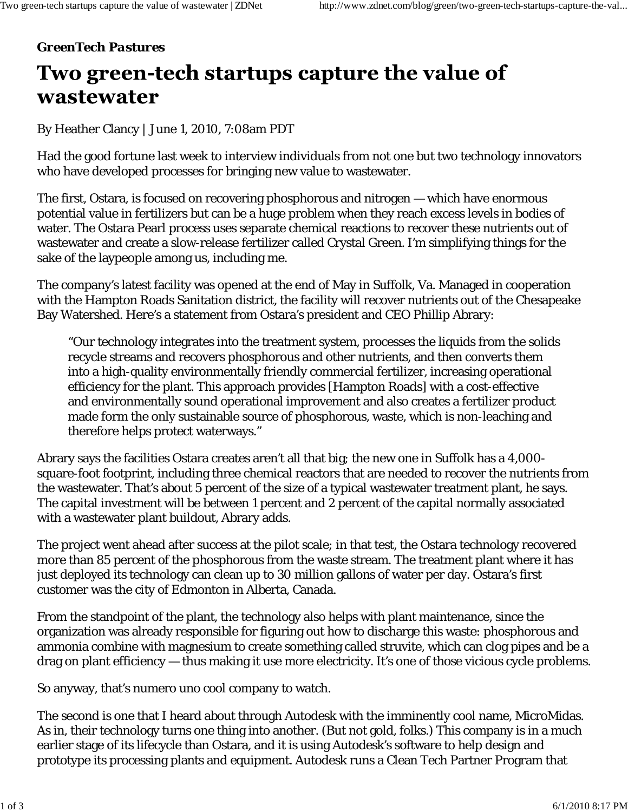## *GreenTech Pastures*

## Two green-tech startups capture the value of wastewater

By Heather Clancy | June 1, 2010, 7:08am PDT

Had the good fortune last week to interview individuals from not one but two technology innovators who have developed processes for bringing new value to wastewater.

The first, Ostara, is focused on recovering phosphorous and nitrogen — which have enormous potential value in fertilizers but can be a huge problem when they reach excess levels in bodies of water. The Ostara Pearl process uses separate chemical reactions to recover these nutrients out of wastewater and create a slow-release fertilizer called Crystal Green. I'm simplifying things for the sake of the laypeople among us, including me.

The company's latest facility was opened at the end of May in Suffolk, Va. Managed in cooperation with the Hampton Roads Sanitation district, the facility will recover nutrients out of the Chesapeake Bay Watershed. Here's a statement from Ostara's president and CEO Phillip Abrary:

"Our technology integrates into the treatment system, processes the liquids from the solids recycle streams and recovers phosphorous and other nutrients, and then converts them into a high-quality environmentally friendly commercial fertilizer, increasing operational efficiency for the plant. This approach provides [Hampton Roads] with a cost-effective and environmentally sound operational improvement and also creates a fertilizer product made form the only sustainable source of phosphorous, waste, which is non-leaching and therefore helps protect waterways."

Abrary says the facilities Ostara creates aren't all that big; the new one in Suffolk has a 4,000 square-foot footprint, including three chemical reactors that are needed to recover the nutrients from the wastewater. That's about 5 percent of the size of a typical wastewater treatment plant, he says. The capital investment will be between 1 percent and 2 percent of the capital normally associated with a wastewater plant buildout, Abrary adds.

The project went ahead after success at the pilot scale; in that test, the Ostara technology recovered more than 85 percent of the phosphorous from the waste stream. The treatment plant where it has just deployed its technology can clean up to 30 million gallons of water per day. Ostara's first customer was the city of Edmonton in Alberta, Canada.

From the standpoint of the plant, the technology also helps with plant maintenance, since the organization was already responsible for figuring out how to discharge this waste: phosphorous and ammonia combine with magnesium to create something called struvite, which can clog pipes and be a drag on plant efficiency — thus making it use more electricity. It's one of those vicious cycle problems.

So anyway, that's numero uno cool company to watch.

The second is one that I heard about through Autodesk with the imminently cool name, MicroMidas. As in, their technology turns one thing into another. (But not gold, folks.) This company is in a much earlier stage of its lifecycle than Ostara, and it is using Autodesk's software to help design and prototype its processing plants and equipment. Autodesk runs a Clean Tech Partner Program that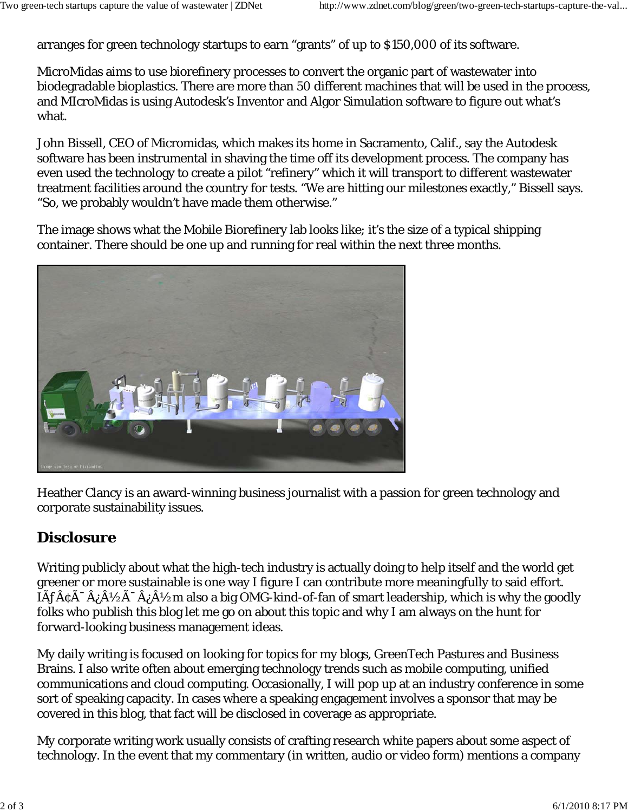arranges for green technology startups to earn "grants" of up to \$150,000 of its software.

MicroMidas aims to use biorefinery processes to convert the organic part of wastewater into biodegradable bioplastics. There are more than 50 different machines that will be used in the process, and MIcroMidas is using Autodesk's Inventor and Algor Simulation software to figure out what's what.

John Bissell, CEO of Micromidas, which makes its home in Sacramento, Calif., say the Autodesk software has been instrumental in shaving the time off its development process. The company has even used the technology to create a pilot "refinery" which it will transport to different wastewater treatment facilities around the country for tests. "We are hitting our milestones exactly," Bissell says. "So, we probably wouldn't have made them otherwise."

The image shows what the Mobile Biorefinery lab looks like; it's the size of a typical shipping container. There should be one up and running for real within the next three months.



Heather Clancy is an award-winning business journalist with a passion for green technology and corporate sustainability issues.

## **Disclosure**

Writing publicly about what the high-tech industry is actually doing to help itself and the world get greener or more sustainable is one way I figure I can contribute more meaningfully to said effort.  $I\tilde{A}f\tilde{A}c\tilde{A}^{-}\tilde{A}i\tilde{A}^{1}\tilde{A}^{1}\tilde{A}^{1}\tilde{A}^{1}$  also a big OMG-kind-of-fan of smart leadership, which is why the goodly folks who publish this blog let me go on about this topic and why I am always on the hunt for forward-looking business management ideas.

My daily writing is focused on looking for topics for my blogs, GreenTech Pastures and Business Brains. I also write often about emerging technology trends such as mobile computing, unified communications and cloud computing. Occasionally, I will pop up at an industry conference in some sort of speaking capacity. In cases where a speaking engagement involves a sponsor that may be covered in this blog, that fact will be disclosed in coverage as appropriate.

My corporate writing work usually consists of crafting research white papers about some aspect of technology. In the event that my commentary (in written, audio or video form) mentions a company